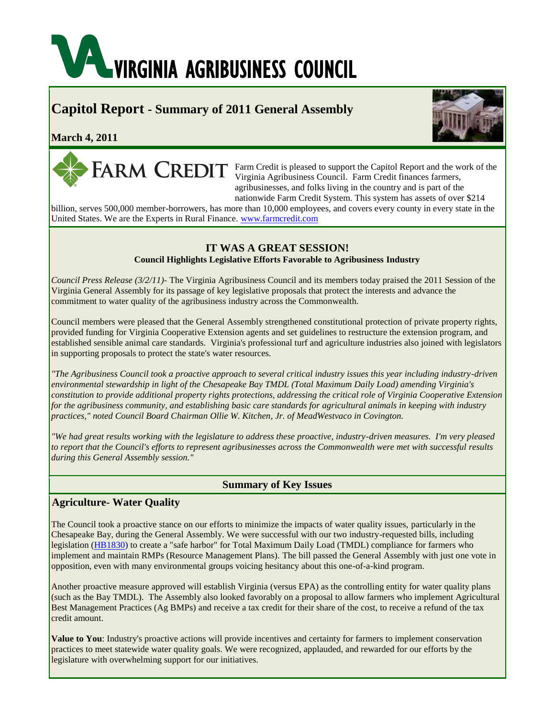# **VAL VIRGINIA AGRIBUSINESS COUNCIL**

# **Capitol Report - Summary of 2011 General Assembly**

# **March 4, 2011**



Farm Credit is pleased to support the Capitol Report and the work of the Virginia Agribusiness Council. Farm Credit finances farmers, agribusinesses, and folks living in the country and is part of the nationwide Farm Credit System. This system has assets of over \$214

billion, serves 500,000 member-borrowers, has more than 10,000 employees, and covers every county in every state in the United States. We are the Experts in Rural Finance. [www.farmcredit.com](http://r20.rs6.net/tn.jsp?llr=dlurqqcab&et=1104725572260&s=3&e=001MLwgnUeBZTaAff3UDK7EMPEqnkY3f2DGyrRbVUvzjrVGOQ1VGiZFz2017778txlcatdLGVewdD8SAZXSqWPVXuI4wTQ8-xjK8XvQSWv5QJnKi5s0atanVA==)

# **IT WAS A GREAT SESSION!**

# **Council Highlights Legislative Efforts Favorable to Agribusiness Industry**

*Council Press Release (3/2/11)-* The Virginia Agribusiness Council and its members today praised the 2011 Session of the Virginia General Assembly for its passage of key legislative proposals that protect the interests and advance the commitment to water quality of the agribusiness industry across the Commonwealth.

Council members were pleased that the General Assembly strengthened constitutional protection of private property rights, provided funding for Virginia Cooperative Extension agents and set guidelines to restructure the extension program, and established sensible animal care standards. Virginia's professional turf and agriculture industries also joined with legislators in supporting proposals to protect the state's water resources.

*"The Agribusiness Council took a proactive approach to several critical industry issues this year including industry-driven environmental stewardship in light of the Chesapeake Bay TMDL (Total Maximum Daily Load) amending Virginia's constitution to provide additional property rights protections, addressing the critical role of Virginia Cooperative Extension for the agribusiness community, and establishing basic care standards for agricultural animals in keeping with industry practices," noted Council Board Chairman Ollie W. Kitchen, Jr. of MeadWestvaco in Covington.*

*"We had great results working with the legislature to address these proactive, industry-driven measures. I'm very pleased to report that the Council's efforts to represent agribusinesses across the Commonwealth were met with successful results during this General Assembly session."*

# **Summary of Key Issues**

# **Agriculture- Water Quality**

The Council took a proactive stance on our efforts to minimize the impacts of water quality issues, particularly in the Chesapeake Bay, during the General Assembly. We were successful with our two industry-requested bills, including legislation [\(HB1830\)](http://r20.rs6.net/tn.jsp?llr=dlurqqcab&et=1104725572260&s=3&e=001MLwgnUeBZTaGe1c7tq55g1LXluOR_NI_lumCLHxqx86eQYtiIxg05zLlIM4eoW2pgWAwwimF37n74ix1vcq6e54tDqnoilA-555yQEPdR5e9UDh_9AlG1OR_8P6Z7DoDjALjUKct1iYkKya6cREX6pKRIuZq69wK1uvg8ZXe9tcPcMipvCGrRZ9CPzpP_JpB) to create a "safe harbor" for Total Maximum Daily Load (TMDL) compliance for farmers who implement and maintain RMPs (Resource Management Plans). The bill passed the General Assembly with just one vote in opposition, even with many environmental groups voicing hesitancy about this one-of-a-kind program.

Another proactive measure approved will establish Virginia (versus EPA) as the controlling entity for water quality plans (such as the Bay TMDL). The Assembly also looked favorably on a proposal to allow farmers who implement Agricultural Best Management Practices (Ag BMPs) and receive a tax credit for their share of the cost, to receive a refund of the tax credit amount.

**Value to You**: Industry's proactive actions will provide incentives and certainty for farmers to implement conservation practices to meet statewide water quality goals. We were recognized, applauded, and rewarded for our efforts by the legislature with overwhelming support for our initiatives.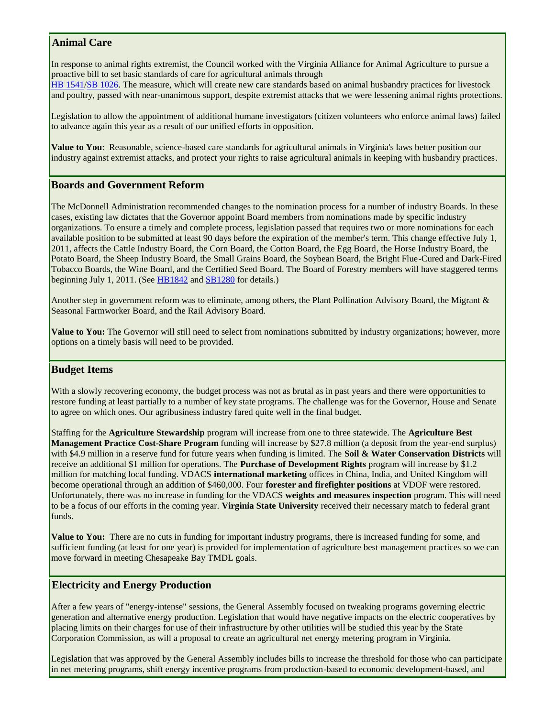# **Animal Care**

In response to animal rights extremist, the Council worked with the Virginia Alliance for Animal Agriculture to pursue a proactive bill to set basic standards of care for agricultural animals through

[HB 1541](http://r20.rs6.net/tn.jsp?llr=dlurqqcab&et=1104725572260&s=3&e=001MLwgnUeBZTaBS-xCcAtX6n3nvOIpAGFq-XZoaM6Ra0QIjw0FoNMGLIS8R4L7AEzjU-fKOF9DL-xtvFQ1TJ2sR0oeYJtisYlLHHVZBvGh1fCpFa8MHaiUmZkS19CupzD1JkSmx45-q3kR0itOsc4mTXCiGlIbAkoAnv_EmhERcyF6OVMZMVNK4iOG0WE0Xk1f)[/SB 1026.](http://r20.rs6.net/tn.jsp?llr=dlurqqcab&et=1104725572260&s=3&e=001MLwgnUeBZTbtMk4kbl022W7Rl6dP1NJ4sF8DWMM203uCsByps8VedUaPTnwuypPvr1juKoN4U0wYBalfVQC9ifq0MjbBirC1QPOUf11U7VLLwYxyBjO3bAD0N-2y5wNjuipclpcAwOftcsQbynMARqhAD5xQ-y6UcmRnnD0m1U0=) The measure, which will create new care standards based on animal husbandry practices for livestock and poultry, passed with near-unanimous support, despite extremist attacks that we were lessening animal rights protections.

Legislation to allow the appointment of additional humane investigators (citizen volunteers who enforce animal laws) failed to advance again this year as a result of our unified efforts in opposition.

**Value to You**: Reasonable, science-based care standards for agricultural animals in Virginia's laws better position our industry against extremist attacks, and protect your rights to raise agricultural animals in keeping with husbandry practices.

# **Boards and Government Reform**

The McDonnell Administration recommended changes to the nomination process for a number of industry Boards. In these cases, existing law dictates that the Governor appoint Board members from nominations made by specific industry organizations. To ensure a timely and complete process, legislation passed that requires two or more nominations for each available position to be submitted at least 90 days before the expiration of the member's term. This change effective July 1, 2011, affects the Cattle Industry Board, the Corn Board, the Cotton Board, the Egg Board, the Horse Industry Board, the Potato Board, the Sheep Industry Board, the Small Grains Board, the Soybean Board, the Bright Flue-Cured and Dark-Fired Tobacco Boards, the Wine Board, and the Certified Seed Board. The Board of Forestry members will have staggered terms beginning July 1, 2011. (See [HB1842](http://r20.rs6.net/tn.jsp?llr=dlurqqcab&et=1104725572260&s=3&e=001MLwgnUeBZTZ2LeV9TnviQ3uF0Z3VjoaXJB-5Fu6UvY0V5N30bZkysfv1y-OQWTM3Cr6Nx3WVbiOtVhnK_Un_7M9yydee48nLka6EClNYxQCFqzmMDqIk5TOQ4Xhx23EHBsNDOtMGIScyjqlX8QjNK2LR_hzl_xKw6RaoHj5Banha64ZTxwICtPEyclitGcrp) and [SB1280](http://r20.rs6.net/tn.jsp?llr=dlurqqcab&et=1104725572260&s=3&e=001MLwgnUeBZTYtNCNRRxLHyebh8eG1rgscWfeJXMn8qvj9Fb7IiYAPkM9dqYuzhj83R426puRo9A1nDbQ7vzzIYoAY7civOkLUCtySAnv1qBVL7MjXlLTjHjf5rjaFr-vNEpH2gHaN5wZ0Ncwn1qTGFuQPR6hWdN0yBjrSMenH2qh3wyqqy0VquEHMV4kyfV3M) for details.)

Another step in government reform was to eliminate, among others, the Plant Pollination Advisory Board, the Migrant & Seasonal Farmworker Board, and the Rail Advisory Board.

**Value to You:** The Governor will still need to select from nominations submitted by industry organizations; however, more options on a timely basis will need to be provided.

# **Budget Items**

With a slowly recovering economy, the budget process was not as brutal as in past years and there were opportunities to restore funding at least partially to a number of key state programs. The challenge was for the Governor, House and Senate to agree on which ones. Our agribusiness industry fared quite well in the final budget.

Staffing for the **Agriculture Stewardship** program will increase from one to three statewide. The **Agriculture Best Management Practice Cost-Share Program** funding will increase by \$27.8 million (a deposit from the year-end surplus) with \$4.9 million in a reserve fund for future years when funding is limited. The **Soil & Water Conservation Districts** will receive an additional \$1 million for operations. The **Purchase of Development Rights** program will increase by \$1.2 million for matching local funding. VDACS **international marketing** offices in China, India, and United Kingdom will become operational through an addition of \$460,000. Four **forester and firefighter positions** at VDOF were restored. Unfortunately, there was no increase in funding for the VDACS **weights and measures inspection** program. This will need to be a focus of our efforts in the coming year. **Virginia State University** received their necessary match to federal grant funds.

**Value to You:** There are no cuts in funding for important industry programs, there is increased funding for some, and sufficient funding (at least for one year) is provided for implementation of agriculture best management practices so we can move forward in meeting Chesapeake Bay TMDL goals.

# **Electricity and Energy Production**

After a few years of "energy-intense" sessions, the General Assembly focused on tweaking programs governing electric generation and alternative energy production. Legislation that would have negative impacts on the electric cooperatives by placing limits on their charges for use of their infrastructure by other utilities will be studied this year by the State Corporation Commission, as will a proposal to create an agricultural net energy metering program in Virginia.

Legislation that was approved by the General Assembly includes bills to increase the threshold for those who can participate in net metering programs, shift energy incentive programs from production-based to economic development-based, and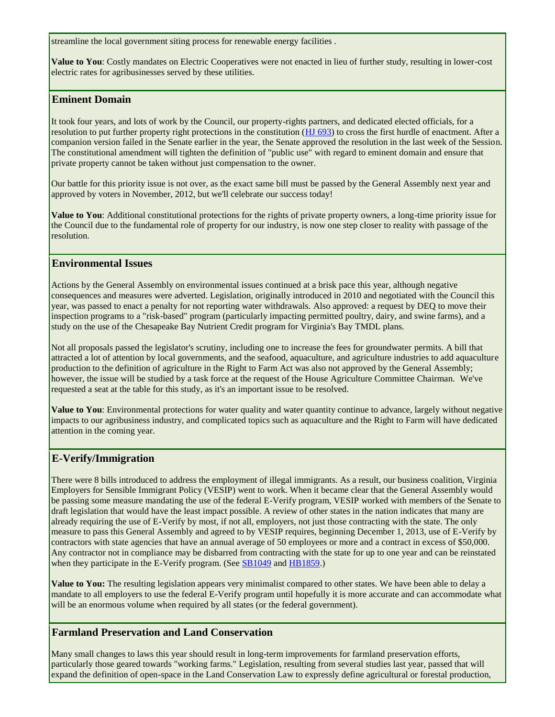streamline the local government siting process for renewable energy facilities .

**Value to You**: Costly mandates on Electric Cooperatives were not enacted in lieu of further study, resulting in lower-cost electric rates for agribusinesses served by these utilities.

# **Eminent Domain**

It took four years, and lots of work by the Council, our property-rights partners, and dedicated elected officials, for a resolution to put further property right protections in the constitution [\(HJ 693\)](http://r20.rs6.net/tn.jsp?llr=dlurqqcab&et=1104725572260&s=3&e=001MLwgnUeBZTZrqwi9Lxwt5tMiEc8WUK4hBC5YhWYMqF5gEkpfDkVdfZXYshW-dfcQipicEohOUawl3QZYNnZjN1HKnAHpkhqwQXYk7S6wrqbtu8ug109H5XHxBMGLwU02VggmY_cTaZeELIIDCt2ZYMRpVK3UgVn7iYNp-yRXHXjA1oiMG-ry3lSxRqmr37hu) to cross the first hurdle of enactment. After a companion version failed in the Senate earlier in the year, the Senate approved the resolution in the last week of the Session. The constitutional amendment will tighten the definition of "public use" with regard to eminent domain and ensure that private property cannot be taken without just compensation to the owner.

Our battle for this priority issue is not over, as the exact same bill must be passed by the General Assembly next year and approved by voters in November, 2012, but we'll celebrate our success today!

**Value to You**: Additional constitutional protections for the rights of private property owners, a long-time priority issue for the Council due to the fundamental role of property for our industry, is now one step closer to reality with passage of the resolution.

# **Environmental Issues**

Actions by the General Assembly on environmental issues continued at a brisk pace this year, although negative consequences and measures were adverted. Legislation, originally introduced in 2010 and negotiated with the Council this year, was passed to enact a penalty for not reporting water withdrawals. Also approved: a request by DEQ to move their inspection programs to a "risk-based" program (particularly impacting permitted poultry, dairy, and swine farms), and a study on the use of the Chesapeake Bay Nutrient Credit program for Virginia's Bay TMDL plans.

Not all proposals passed the legislator's scrutiny, including one to increase the fees for groundwater permits. A bill that attracted a lot of attention by local governments, and the seafood, aquaculture, and agriculture industries to add aquaculture production to the definition of agriculture in the Right to Farm Act was also not approved by the General Assembly; however, the issue will be studied by a task force at the request of the House Agriculture Committee Chairman. We've requested a seat at the table for this study, as it's an important issue to be resolved.

**Value to You**: Environmental protections for water quality and water quantity continue to advance, largely without negative impacts to our agribusiness industry, and complicated topics such as aquaculture and the Right to Farm will have dedicated attention in the coming year.

# **E-Verify/Immigration**

There were 8 bills introduced to address the employment of illegal immigrants. As a result, our business coalition, Virginia Employers for Sensible Immigrant Policy (VESIP) went to work. When it became clear that the General Assembly would be passing some measure mandating the use of the federal E-Verify program, VESIP worked with members of the Senate to draft legislation that would have the least impact possible. A review of other states in the nation indicates that many are already requiring the use of E-Verify by most, if not all, employers, not just those contracting with the state. The only measure to pass this General Assembly and agreed to by VESIP requires, beginning December 1, 2013, use of E-Verify by contractors with state agencies that have an annual average of 50 employees or more and a contract in excess of \$50,000. Any contractor not in compliance may be disbarred from contracting with the state for up to one year and can be reinstated when they participate in the E-Verify program. (See **SB1049** and **HB1859**.)

**Value to You:** The resulting legislation appears very minimalist compared to other states. We have been able to delay a mandate to all employers to use the federal E-Verify program until hopefully it is more accurate and can accommodate what will be an enormous volume when required by all states (or the federal government).

# **Farmland Preservation and Land Conservation**

Many small changes to laws this year should result in long-term improvements for farmland preservation efforts, particularly those geared towards "working farms." Legislation, resulting from several studies last year, passed that will expand the definition of open-space in the Land Conservation Law to expressly define agricultural or forestal production,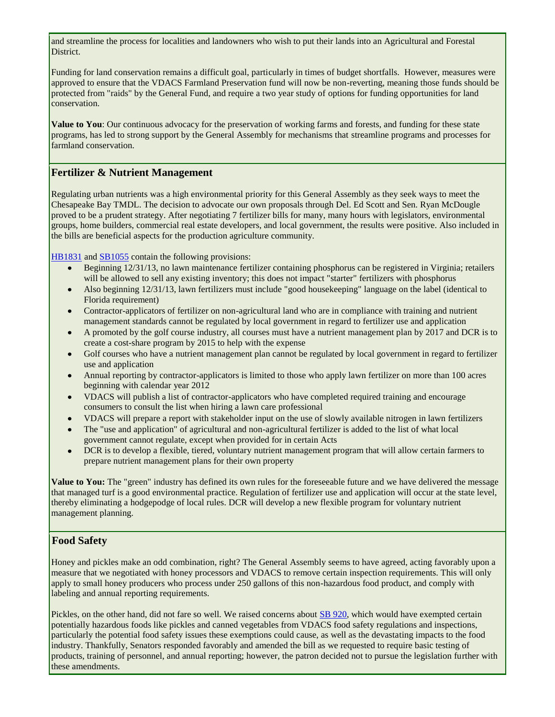and streamline the process for localities and landowners who wish to put their lands into an Agricultural and Forestal District.

Funding for land conservation remains a difficult goal, particularly in times of budget shortfalls. However, measures were approved to ensure that the VDACS Farmland Preservation fund will now be non-reverting, meaning those funds should be protected from "raids" by the General Fund, and require a two year study of options for funding opportunities for land conservation.

**Value to You**: Our continuous advocacy for the preservation of working farms and forests, and funding for these state programs, has led to strong support by the General Assembly for mechanisms that streamline programs and processes for farmland conservation.

#### **Fertilizer & Nutrient Management**

Regulating urban nutrients was a high environmental priority for this General Assembly as they seek ways to meet the Chesapeake Bay TMDL. The decision to advocate our own proposals through Del. Ed Scott and Sen. Ryan McDougle proved to be a prudent strategy. After negotiating 7 fertilizer bills for many, many hours with legislators, environmental groups, home builders, commercial real estate developers, and local government, the results were positive. Also included in the bills are beneficial aspects for the production agriculture community.

[HB1831](http://r20.rs6.net/tn.jsp?llr=dlurqqcab&et=1104725572260&s=3&e=001MLwgnUeBZTaAiFWyY4dtHkiVH19N4Udp4sNV8JPe5NbWr4dg8A3L4nBz_y21xyCWVwAe-TbyY1PAXtbyni-vIV41Usm7Wi5q5j44CDBIQiQgJMbn7SpQWZLBB1iPh7ffl-LISAlTExAmvdGlzO3YKwpcQv_U1-uKsiQOI6iXe-7QMDgWzzna_gOLxGeO-uIu) and [SB1055](http://r20.rs6.net/tn.jsp?llr=dlurqqcab&et=1104725572260&s=3&e=001MLwgnUeBZTZbkpsfE2pOZub52yf7Nu-Qe-w7QJPiK8CCHLFoLhgZdWmB0ubzi0WXa2_I78jV-GUSSD_rqKm-ccy_XNNmQROCS91RGcuBac2SLGgMdeaAZCYlfdQUxQ4_9nn-Icq3_TB6pi4LsDt5jM-7FBKf_2B8CP_JwVj9VCJjO6wR7l9Vz5S8SrbTJeQ4) contain the following provisions:

- Beginning 12/31/13, no lawn maintenance fertilizer containing phosphorus can be registered in Virginia; retailers will be allowed to sell any existing inventory; this does not impact "starter" fertilizers with phosphorus
- Also beginning 12/31/13, lawn fertilizers must include "good housekeeping" language on the label (identical to  $\bullet$ Florida requirement)
- Contractor-applicators of fertilizer on non-agricultural land who are in compliance with training and nutrient management standards cannot be regulated by local government in regard to fertilizer use and application
- A promoted by the golf course industry, all courses must have a nutrient management plan by 2017 and DCR is to create a cost-share program by 2015 to help with the expense
- Golf courses who have a nutrient management plan cannot be regulated by local government in regard to fertilizer  $\bullet$  . use and application
- Annual reporting by contractor-applicators is limited to those who apply lawn fertilizer on more than 100 acres beginning with calendar year 2012
- VDACS will publish a list of contractor-applicators who have completed required training and encourage consumers to consult the list when hiring a lawn care professional
- VDACS will prepare a report with stakeholder input on the use of slowly available nitrogen in lawn fertilizers
- The "use and application" of agricultural and non-agricultural fertilizer is added to the list of what local government cannot regulate, except when provided for in certain Acts
- DCR is to develop a flexible, tiered, voluntary nutrient management program that will allow certain farmers to  $\bullet$ prepare nutrient management plans for their own property

**Value to You:** The "green" industry has defined its own rules for the foreseeable future and we have delivered the message that managed turf is a good environmental practice. Regulation of fertilizer use and application will occur at the state level, thereby eliminating a hodgepodge of local rules. DCR will develop a new flexible program for voluntary nutrient management planning.

# **Food Safety**

Honey and pickles make an odd combination, right? The General Assembly seems to have agreed, acting favorably upon a measure that we negotiated with honey processors and VDACS to remove certain inspection requirements. This will only apply to small honey producers who process under 250 gallons of this non-hazardous food product, and comply with labeling and annual reporting requirements.

Pickles, on the other hand, did not fare so well. We raised concerns about [SB 920,](http://r20.rs6.net/tn.jsp?llr=dlurqqcab&et=1104725572260&s=3&e=001MLwgnUeBZTbXc92rUAtzJreK10_pjll1pGdq7k2oUT0PFed5EAmW-txIgwogbg6qUINkYGAeQVXEgd7Tcp0gwKLbxVYyswpiZ4RVWFX45MUL-JCB3rZQfVRzA8U9tx6a4RFhoIu5d3zobwTR9wE1uRfrAz8ZrXK0t34lLd_jxU2oFGxNSqqFUXWZqlb4hXRo) which would have exempted certain potentially hazardous foods like pickles and canned vegetables from VDACS food safety regulations and inspections, particularly the potential food safety issues these exemptions could cause, as well as the devastating impacts to the food industry. Thankfully, Senators responded favorably and amended the bill as we requested to require basic testing of products, training of personnel, and annual reporting; however, the patron decided not to pursue the legislation further with these amendments.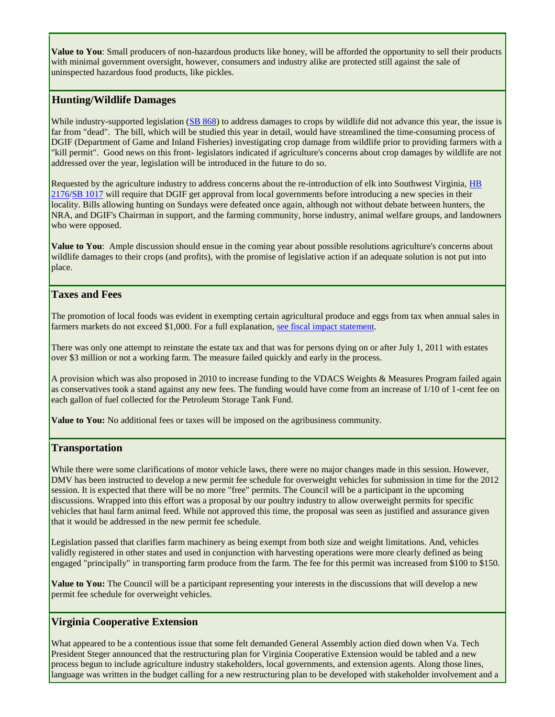**Value to You**: Small producers of non-hazardous products like honey, will be afforded the opportunity to sell their products with minimal government oversight, however, consumers and industry alike are protected still against the sale of uninspected hazardous food products, like pickles.

# **Hunting/Wildlife Damages**

While industry-supported legislation [\(SB 868\)](http://r20.rs6.net/tn.jsp?llr=dlurqqcab&et=1104725572260&s=3&e=001MLwgnUeBZTYM038Kl0vvBiX-mQBYMEyA8WQAIvaT8GP-43fTJwnDB3KluyP2Blxpm25PkGfSMccQYaQKRM1Jq2L8sf2GsMwfA5Dqzr66kPN8JOrJIri1ajpwQae5ynz1gzIwEegFyGpHKXRv4kVwzVrHQWCxJefMN46Uc7lLWRQQuBV7-ItP5_7P2ohS18vU) to address damages to crops by wildlife did not advance this year, the issue is far from "dead". The bill, which will be studied this year in detail, would have streamlined the time-consuming process of DGIF (Department of Game and Inland Fisheries) investigating crop damage from wildlife prior to providing farmers with a "kill permit". Good news on this front- legislators indicated if agriculture's concerns about crop damages by wildlife are not addressed over the year, legislation will be introduced in the future to do so.

Requested by the agriculture industry to address concerns about the re-introduction of elk into Southwest Virginia, [HB](http://r20.rs6.net/tn.jsp?llr=dlurqqcab&et=1104725572260&s=3&e=001MLwgnUeBZTbFq12PrNBucidYlDGUerRxya8NrXaYr4Lfs5xXm0qfAq651IWSCiBAXORnmQ0GIG-qBJ_MsR3EZcitEXw04gBr2jTy05wuOc16e8bmp45GCRZmkIqsAsnRQ8xemiFrXElUoE_PLn0L7q5WYK__lun2RIe0ip90m_Q=)  [2176](http://r20.rs6.net/tn.jsp?llr=dlurqqcab&et=1104725572260&s=3&e=001MLwgnUeBZTbFq12PrNBucidYlDGUerRxya8NrXaYr4Lfs5xXm0qfAq651IWSCiBAXORnmQ0GIG-qBJ_MsR3EZcitEXw04gBr2jTy05wuOc16e8bmp45GCRZmkIqsAsnRQ8xemiFrXElUoE_PLn0L7q5WYK__lun2RIe0ip90m_Q=)[/SB 1017](http://r20.rs6.net/tn.jsp?llr=dlurqqcab&et=1104725572260&s=3&e=001MLwgnUeBZTb-ecX-3ZSrjBM0rxv1tNTqiXBME4-yuMMY_FtHr0c1Ln6taq5aB3q2BALqFKUFhIHgwCoyF3lDjZM22zrGWUW2wtm2FK02a6g7n2nPPcJAXRnRMrsyauql1DGlrJuzUT3kjwkNS00uMbsyqmA0sNnOaJRZ2Sm_1-0=) will require that DGIF get approval from local governments before introducing a new species in their locality. Bills allowing hunting on Sundays were defeated once again, although not without debate between hunters, the NRA, and DGIF's Chairman in support, and the farming community, horse industry, animal welfare groups, and landowners who were opposed.

**Value to You**: Ample discussion should ensue in the coming year about possible resolutions agriculture's concerns about wildlife damages to their crops (and profits), with the promise of legislative action if an adequate solution is not put into place.

# **Taxes and Fees**

The promotion of local foods was evident in exempting certain agricultural produce and eggs from tax when annual sales in farmers markets do not exceed \$1,000. For a full explanation, [see fiscal impact statement.](http://r20.rs6.net/tn.jsp?llr=dlurqqcab&et=1104725572260&s=3&e=001MLwgnUeBZTbDxelVVOhdVFZ48s2uuiNFK27SO1YIYLizKcSiEGTo7YWM74L6o4AQ5CACCWd_5V1DVL8ucIjlwTOfctTkYw8dqLy56j7fF-mMkRyS6er5A4dtZy1DOewX8f0NMDfiS-XtH41K4p7b_MFjbFGo5iSShr4AOcoxMIS5Mbfm40mthQ==)

There was only one attempt to reinstate the estate tax and that was for persons dying on or after July 1, 2011 with estates over \$3 million or not a working farm. The measure failed quickly and early in the process.

A provision which was also proposed in 2010 to increase funding to the VDACS Weights & Measures Program failed again as conservatives took a stand against any new fees. The funding would have come from an increase of 1/10 of 1-cent fee on each gallon of fuel collected for the Petroleum Storage Tank Fund.

**Value to You:** No additional fees or taxes will be imposed on the agribusiness community.

# **Transportation**

While there were some clarifications of motor vehicle laws, there were no major changes made in this session. However, DMV has been instructed to develop a new permit fee schedule for overweight vehicles for submission in time for the 2012 session. It is expected that there will be no more "free" permits. The Council will be a participant in the upcoming discussions. Wrapped into this effort was a proposal by our poultry industry to allow overweight permits for specific vehicles that haul farm animal feed. While not approved this time, the proposal was seen as justified and assurance given that it would be addressed in the new permit fee schedule.

Legislation passed that clarifies farm machinery as being exempt from both size and weight limitations. And, vehicles validly registered in other states and used in conjunction with harvesting operations were more clearly defined as being engaged "principally" in transporting farm produce from the farm. The fee for this permit was increased from \$100 to \$150.

**Value to You:** The Council will be a participant representing your interests in the discussions that will develop a new permit fee schedule for overweight vehicles.

# **Virginia Cooperative Extension**

What appeared to be a contentious issue that some felt demanded General Assembly action died down when Va. Tech President Steger announced that the restructuring plan for Virginia Cooperative Extension would be tabled and a new process begun to include agriculture industry stakeholders, local governments, and extension agents. Along those lines, language was written in the budget calling for a new restructuring plan to be developed with stakeholder involvement and a